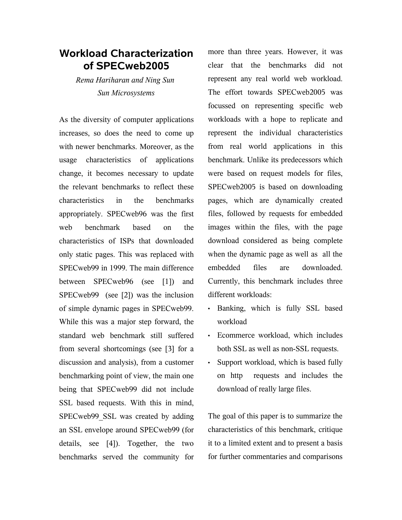## **Workload Characterization of SPECweb2005**

*Rema Hariharan and Ning Sun Sun Microsystems*

As the diversity of computer applications increases, so does the need to come up with newer benchmarks. Moreover, as the usage characteristics of applications change, it becomes necessary to update the relevant benchmarks to reflect these characteristics in the benchmarks appropriately. SPECweb96 was the first web benchmark based on the characteristics of ISPs that downloaded only static pages. This was replaced with SPECweb99 in 1999. The main difference between SPECweb96 (see [1]) and SPECweb99 (see [2]) was the inclusion of simple dynamic pages in SPECweb99. While this was a major step forward, the standard web benchmark still suffered from several shortcomings (see [3] for a discussion and analysis), from a customer benchmarking point of view, the main one being that SPECweb99 did not include SSL based requests. With this in mind, SPECweb99 SSL was created by adding an SSL envelope around SPECweb99 (for details, see [4]). Together, the two benchmarks served the community for

more than three years. However, it was clear that the benchmarks did not represent any real world web workload. The effort towards SPECweb2005 was focussed on representing specific web workloads with a hope to replicate and represent the individual characteristics from real world applications in this benchmark. Unlike its predecessors which were based on request models for files, SPECweb2005 is based on downloading pages, which are dynamically created files, followed by requests for embedded images within the files, with the page download considered as being complete when the dynamic page as well as all the embedded files are downloaded. Currently, this benchmark includes three different workloads:

- Banking, which is fully SSL based workload
- Ecommerce workload, which includes both SSL as well as non-SSL requests.
- Support workload, which is based fully on http requests and includes the download of really large files.

The goal of this paper is to summarize the characteristics of this benchmark, critique it to a limited extent and to present a basis for further commentaries and comparisons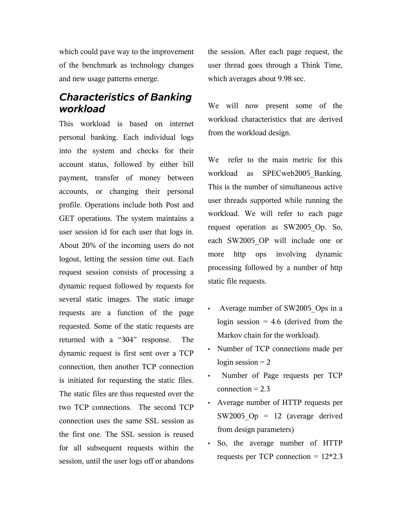which could pave way to the improvement of the benchmark as technology changes and new usage patterns emerge.

# *Characteristics of Banking workload*

This workload is based on internet personal banking. Each individual logs into the system and checks for their account status, followed by either bill payment, transfer of money between accounts, or changing their personal profile. Operations include both Post and GET operations. The system maintains a user session id for each user that logs in. About 20% of the incoming users do not logout, letting the session time out. Each request session consists of processing a dynamic request followed by requests for several static images. The static image requests are a function of the page requested. Some of the static requests are returned with a "304" response. The dynamic request is first sent over a TCP connection, then another TCP connection is initiated for requesting the static files. The static files are thus requested over the two TCP connections. The second TCP connection uses the same SSL session as the first one. The SSL session is reused for all subsequent requests within the session, until the user logs off or abandons

the session. After each page request, the user thread goes through a Think Time, which averages about 9.98 sec.

We will now present some of the workload characteristics that are derived from the workload design.

We refer to the main metric for this workload as SPECweb2005 Banking. This is the number of simultaneous active user threads supported while running the workload. We will refer to each page request operation as SW2005\_Op. So, each SW2005\_OP will include one or more http ops involving dynamic processing followed by a number of http static file requests.

- Average number of SW2005 Ops in a login session  $= 4.6$  (derived from the Markov chain for the workload).
- Number of TCP connections made per login session  $= 2$
- Number of Page requests per TCP  $connection = 2.3$
- Average number of HTTP requests per SW2005  $Op = 12$  (average derived from design parameters)
- So, the average number of HTTP requests per TCP connection  $= 12*2.3$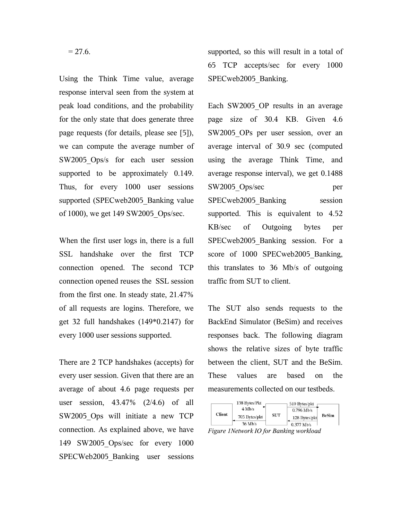Using the Think Time value, average response interval seen from the system at peak load conditions, and the probability for the only state that does generate three page requests (for details, please see [5]), we can compute the average number of SW2005 Ops/s for each user session supported to be approximately 0.149. Thus, for every 1000 user sessions supported (SPECweb2005 Banking value of 1000), we get 149 SW2005\_Ops/sec.

When the first user logs in, there is a full SSL handshake over the first TCP connection opened. The second TCP connection opened reuses the SSL session from the first one. In steady state, 21.47% of all requests are logins. Therefore, we get 32 full handshakes (149\*0.2147) for every 1000 user sessions supported.

There are 2 TCP handshakes (accepts) for every user session. Given that there are an average of about 4.6 page requests per user session, 43.47% (2/4.6) of all SW2005 Ops will initiate a new TCP connection. As explained above, we have 149 SW2005\_Ops/sec for every 1000 SPECWeb2005 Banking user sessions

supported, so this will result in a total of 65 TCP accepts/sec for every 1000 SPECweb2005\_Banking.

Each SW2005\_OP results in an average page size of 30.4 KB. Given 4.6 SW2005 OPs per user session, over an average interval of 30.9 sec (computed using the average Think Time, and average response interval), we get 0.1488 SW2005 Ops/sec per SPECweb2005 Banking session supported. This is equivalent to 4.52 KB/sec of Outgoing bytes per SPECweb2005 Banking session. For a score of 1000 SPECweb2005 Banking, this translates to 36 Mb/s of outgoing traffic from SUT to client.

The SUT also sends requests to the BackEnd Simulator (BeSim) and receives responses back. The following diagram shows the relative sizes of byte traffic between the client, SUT and the BeSim. These values are based on the measurements collected on our testbeds.



*Figure 1Network IO for Banking workload*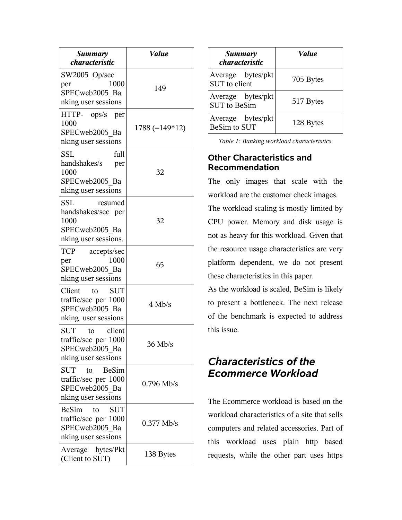| <b>Summary</b><br>characteristic                                                                  | <b>Value</b>   |  |
|---------------------------------------------------------------------------------------------------|----------------|--|
| SW2005_Op/sec<br>1000<br>per<br>SPECweb2005 Ba<br>nking user sessions                             | 149            |  |
| HTTP- ops/s per<br>1000<br>SPECweb2005 Ba<br>nking user sessions                                  | 1788 (=149*12) |  |
| SSL<br>full<br>handshakes/s<br>per<br>1000<br>SPECweb2005 Ba<br>nking user sessions               | 32             |  |
| <b>SSL</b><br>resumed<br>handshakes/sec per<br>1000<br>SPECweb2005 Ba<br>nking user sessions.     | 32             |  |
| <b>TCP</b><br>accepts/sec<br>1000<br>per<br>SPECweb2005 Ba<br>nking user sessions                 | 65             |  |
| Client<br>to<br><b>SUT</b><br>traffic/sec per 1000<br>SPECweb2005 Ba<br>nking user sessions       | $4$ Mb/s       |  |
| <b>SUT</b><br>client<br>to<br>traffic/sec per 1000<br>SPECweb2005 Ba<br>nking user sessions       | $36$ Mb/s      |  |
| SUT<br>BeSim<br>to<br>traffic/sec per 1000<br>SPECweb2005 Ba<br>nking user sessions               | $0.796$ Mb/s   |  |
| <b>BeSim</b><br><b>SUT</b><br>to<br>traffic/sec per 1000<br>SPECweb2005 Ba<br>nking user sessions | $0.377$ Mb/s   |  |
| Average bytes/Pkt<br>(Client to SUT)                                                              | 138 Bytes      |  |

| Summary<br><i>characteristic</i>         | <b><i>Value</i></b> |  |
|------------------------------------------|---------------------|--|
| Average bytes/pkt<br>SUT to client       | 705 Bytes           |  |
| Average bytes/pkt<br><b>SUT</b> to BeSim | 517 Bytes           |  |
| Average bytes/pkt<br>BeSim to SUT        | 128 Bytes           |  |

*Table 1: Banking workload characteristics*

#### **Other Characteristics and Recommendation**

The only images that scale with the workload are the customer check images.

The workload scaling is mostly limited by CPU power. Memory and disk usage is not as heavy for this workload. Given that the resource usage characteristics are very platform dependent, we do not present these characteristics in this paper.

As the workload is scaled, BeSim is likely to present a bottleneck. The next release of the benchmark is expected to address this issue.

# *Characteristics of the Ecommerce Workload*

The Ecommerce workload is based on the workload characteristics of a site that sells computers and related accessories. Part of this workload uses plain http based requests, while the other part uses https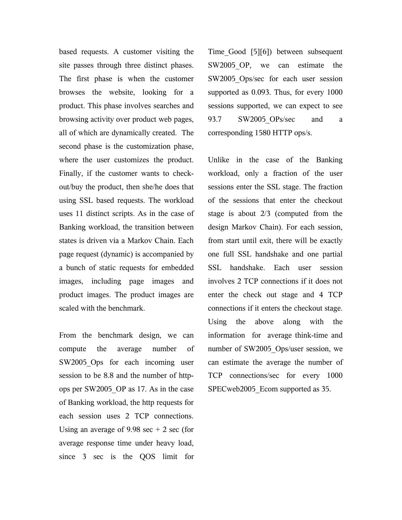based requests. A customer visiting the site passes through three distinct phases. The first phase is when the customer browses the website, looking for a product. This phase involves searches and browsing activity over product web pages, all of which are dynamically created. The second phase is the customization phase, where the user customizes the product. Finally, if the customer wants to checkout/buy the product, then she/he does that using SSL based requests. The workload uses 11 distinct scripts. As in the case of Banking workload, the transition between states is driven via a Markov Chain. Each page request (dynamic) is accompanied by a bunch of static requests for embedded images, including page images and product images. The product images are scaled with the benchmark.

From the benchmark design, we can compute the average number of SW2005 Ops for each incoming user session to be 8.8 and the number of httpops per SW2005\_OP as 17. As in the case of Banking workload, the http requests for each session uses 2 TCP connections. Using an average of 9.98 sec  $+ 2$  sec (for average response time under heavy load, since 3 sec is the QOS limit for

Time\_Good [5][6]) between subsequent SW2005 OP, we can estimate the SW2005 Ops/sec for each user session supported as 0.093. Thus, for every 1000 sessions supported, we can expect to see 93.7 SW2005 OPs/sec and a corresponding 1580 HTTP ops/s.

Unlike in the case of the Banking workload, only a fraction of the user sessions enter the SSL stage. The fraction of the sessions that enter the checkout stage is about 2/3 (computed from the design Markov Chain). For each session, from start until exit, there will be exactly one full SSL handshake and one partial SSL handshake. Each user session involves 2 TCP connections if it does not enter the check out stage and 4 TCP connections if it enters the checkout stage. Using the above along with the information for average think-time and number of SW2005\_Ops/user session, we can estimate the average the number of TCP connections/sec for every 1000 SPECweb2005 Ecom supported as 35.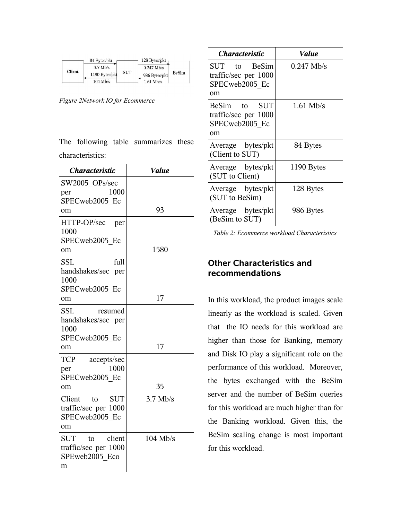|                                                                           | 84 Bytes/pkt                | 128 Bytes/pkt |  |
|---------------------------------------------------------------------------|-----------------------------|---------------|--|
| $3.7$ Mb/s<br><b>Client</b><br><b>SUT</b><br>1190 Bytes/pkt<br>$104$ Mb/s | $0.247$ Mb/s                |               |  |
|                                                                           | 986 Bytes/pkt<br>$161$ Mb/s | <b>BeSim</b>  |  |

*Figure 2Network IO for Ecommerce*

The following table summarizes these characteristics:

| <b>Characteristic</b>                                                           | <b>Value</b> |  |  |
|---------------------------------------------------------------------------------|--------------|--|--|
| SW2005_OPs/sec<br>1000<br>per<br>SPECweb2005 Ec                                 |              |  |  |
| om                                                                              | 93           |  |  |
| HTTP-OP/sec<br>per<br>1000<br>SPECweb2005 Ec<br>om                              | 1580         |  |  |
|                                                                                 |              |  |  |
| full<br><b>SSL</b><br>handshakes/sec per<br>1000                                |              |  |  |
| SPECweb2005 Ec<br>om                                                            | 17           |  |  |
| SSL<br>resumed<br>handshakes/sec per<br>1000                                    |              |  |  |
| SPECweb2005 Ec<br>om                                                            | 17           |  |  |
| <b>TCP</b><br>accepts/sec<br>1000<br>per<br>SPECweb2005 Ec                      |              |  |  |
| 0m                                                                              | 35           |  |  |
| Client<br>$\overline{a}$<br>SUT<br>traffic/sec per 1000<br>SPECweb2005 Ec<br>om | $3.7$ Mb/s   |  |  |
| client<br>SUT<br>to<br>traffic/sec per 1000<br>SPEweb2005 Eco<br>m              | $104$ Mb/s   |  |  |

| <i><b>Characteristic</b></i>                                 | <i>Value</i> |  |  |
|--------------------------------------------------------------|--------------|--|--|
| SUT to BeSim<br>traffic/sec per 1000<br>SPECweb2005 Ec<br>om | $0.247$ Mb/s |  |  |
| BeSim to SUT<br>traffic/sec per 1000<br>SPECweb2005 Ec<br>om | $1.61$ Mb/s  |  |  |
| Average bytes/pkt<br>(Client to SUT)                         | 84 Bytes     |  |  |
| Average bytes/pkt<br>(SUT to Client)                         | 1190 Bytes   |  |  |
| Average bytes/pkt<br>(SUT to BeSim)                          | 128 Bytes    |  |  |
| Average bytes/pkt<br>(BeSim to SUT)                          | 986 Bytes    |  |  |

*Table 2: Ecommerce workload Characteristics*

#### **Other Characteristics and recommendations**

In this workload, the product images scale linearly as the workload is scaled. Given that the IO needs for this workload are higher than those for Banking, memory and Disk IO play a significant role on the performance of this workload. Moreover, the bytes exchanged with the BeSim server and the number of BeSim queries for this workload are much higher than for the Banking workload. Given this, the BeSim scaling change is most important for this workload.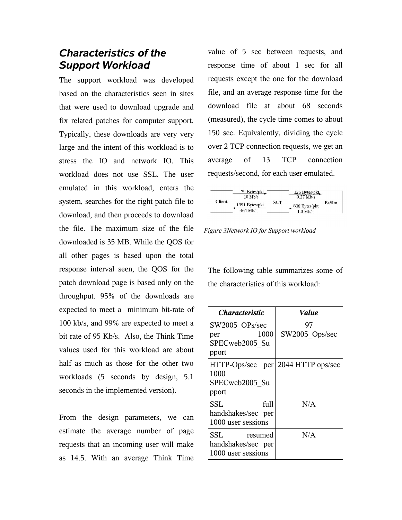## *Characteristics of the Support Workload*

The support workload was developed based on the characteristics seen in sites that were used to download upgrade and fix related patches for computer support. Typically, these downloads are very very large and the intent of this workload is to stress the IO and network IO. This workload does not use SSL. The user emulated in this workload, enters the system, searches for the right patch file to download, and then proceeds to download the file. The maximum size of the file downloaded is 35 MB. While the QOS for all other pages is based upon the total response interval seen, the QOS for the patch download page is based only on the throughput. 95% of the downloads are expected to meet a minimum bit-rate of 100 kb/s, and 99% are expected to meet a bit rate of 95 Kb/s. Also, the Think Time values used for this workload are about half as much as those for the other two workloads (5 seconds by design, 5.1 seconds in the implemented version).

From the design parameters, we can estimate the average number of page requests that an incoming user will make as 14.5. With an average Think Time value of 5 sec between requests, and response time of about 1 sec for all requests except the one for the download file, and an average response time for the download file at about 68 seconds (measured), the cycle time comes to about 150 sec. Equivalently, dividing the cycle over 2 TCP connection requests, we get an average of 13 TCP connection requests/second, for each user emulated.



*Figure 3Network IO for Support workload*

The following table summarizes some of the characteristics of this workload:

| <i><b>Characteristic</b></i> |      | <i><b>Value</b></i> |  |
|------------------------------|------|---------------------|--|
| SW2005 OPs/sec               |      | 97                  |  |
| per                          | 1000 | SW2005 Ops/sec      |  |
| SPECweb2005 Su               |      |                     |  |
| pport                        |      |                     |  |
| $HTTP-Ops/sec$ per           |      | 2044 HTTP ops/sec   |  |
| 1000                         |      |                     |  |
| SPECweb2005 Su               |      |                     |  |
| pport                        |      |                     |  |
| SSL                          | full | N/A                 |  |
| handshakes/sec per           |      |                     |  |
| 1000 user sessions           |      |                     |  |
| SSL<br>resumed               |      | N/A                 |  |
| handshakes/sec per           |      |                     |  |
| 1000 user sessions           |      |                     |  |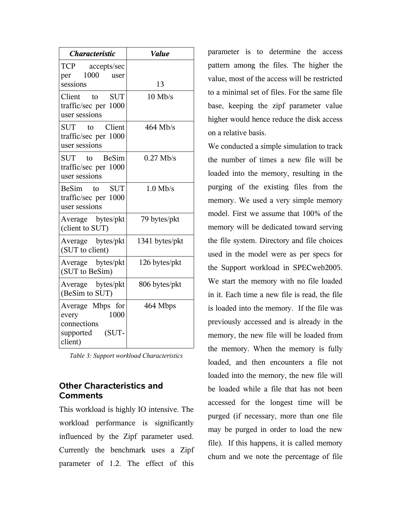| <b>Characteristic</b>                                                             | <b>Value</b>   |  |
|-----------------------------------------------------------------------------------|----------------|--|
| TCP accepts/sec<br>1000 user<br>per                                               |                |  |
| sessions                                                                          | 13             |  |
| Client to SUT<br>traffic/sec per 1000<br>user sessions                            | $10$ Mb/s      |  |
| Client<br>SUT to<br>traffic/sec per 1000<br>user sessions                         | $464$ Mb/s     |  |
| <b>BeSim</b><br>SUT<br>to<br>traffic/sec per 1000<br>user sessions                | $0.27$ Mb/s    |  |
| BeSim to SUT<br>traffic/sec per 1000<br>user sessions                             | $1.0$ Mb/s     |  |
| Average bytes/pkt<br>(client to SUT)                                              | 79 bytes/pkt   |  |
| Average bytes/pkt<br>(SUT to client)                                              | 1341 bytes/pkt |  |
| Average bytes/pkt<br>(SUT to BeSim)                                               | 126 bytes/pkt  |  |
| Average bytes/pkt<br>(BeSim to SUT)                                               | 806 bytes/pkt  |  |
| Average Mbps for<br>1000<br>every<br>connections<br>(SUT-<br>supported<br>client) | 464 Mbps       |  |

*Table 3: Support workload Characteristics*

#### **Other Characteristics and Comments**

This workload is highly IO intensive. The workload performance is significantly influenced by the Zipf parameter used. Currently the benchmark uses a Zipf parameter of 1.2. The effect of this

parameter is to determine the access pattern among the files. The higher the value, most of the access will be restricted to a minimal set of files. For the same file base, keeping the zipf parameter value higher would hence reduce the disk access on a relative basis.

We conducted a simple simulation to track the number of times a new file will be loaded into the memory, resulting in the purging of the existing files from the memory. We used a very simple memory model. First we assume that 100% of the memory will be dedicated toward serving the file system. Directory and file choices used in the model were as per specs for the Support workload in SPECweb2005. We start the memory with no file loaded in it. Each time a new file is read, the file is loaded into the memory. If the file was previously accessed and is already in the memory, the new file will be loaded from the memory. When the memory is fully loaded, and then encounters a file not loaded into the memory, the new file will be loaded while a file that has not been accessed for the longest time will be purged (if necessary, more than one file may be purged in order to load the new file). If this happens, it is called memory churn and we note the percentage of file